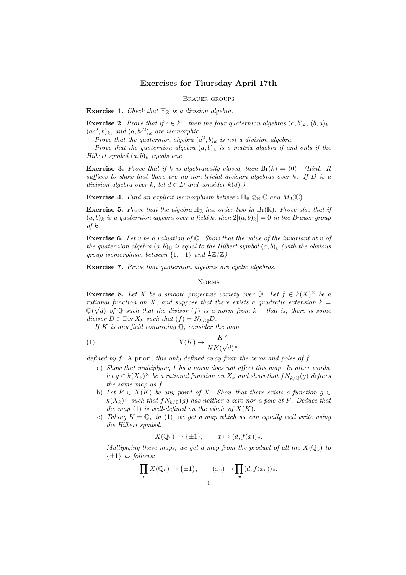## Exercises for Thursday April 17th

Brauer groups

**Exercise 1.** Check that  $\mathbb{H}_{\mathbb{R}}$  is a division algebra.

**Exercise 2.** Prove that if  $c \in k^*$ , then the four quaternion algebras  $(a, b)_k$ ,  $(b, a)_k$ ,  $(ac^2, b)_k$ , and  $(a, bc^2)_k$  are isomorphic.

Prove that the quaternion algebra  $(a^2, b)_k$  is not a division algebra.

Prove that the quaternion algebra  $(a, b)_k$  is a matrix algebra if and only if the Hilbert symbol  $(a, b)_k$  equals one.

**Exercise 3.** Prove that if k is algebraically closed, then  $Br(k) = (0)$ . (Hint: It suffices to show that there are no non-trivial division algebras over  $k$ . If  $D$  is a division algebra over k, let  $d \in D$  and consider  $k(d)$ .)

**Exercise 4.** Find an explicit isomorphism between  $\mathbb{H}_{\mathbb{R}} \otimes_{\mathbb{R}} \mathbb{C}$  and  $M_2(\mathbb{C})$ .

**Exercise 5.** Prove that the algebra  $\mathbb{H}_{\mathbb{R}}$  has order two in  $\text{Br}(\mathbb{R})$ . Prove also that if  $(a, b)_k$  is a quaternion algebra over a field k, then  $2[(a, b)_k] = 0$  in the Brauer group of  $k$ .

**Exercise 6.** Let v be a valuation of  $\mathbb{Q}$ . Show that the value of the invariant at v of the quaternion algebra  $(a, b)$ <sub>Q</sub> is equal to the Hilbert symbol  $(a, b)$ <sub>v</sub> (with the obvious group isomorphism between  $\{1, -1\}$  and  $\frac{1}{2}\mathbb{Z}/\mathbb{Z}$ ).

Exercise 7. Prove that quaternion algebras are cyclic algebras.

## **NORMS**

**Exercise 8.** Let X be a smooth projective variety over Q. Let  $f \in k(X)^{\times}$  be a rational function on X, and suppose that there exists a quadratic extension  $k =$  $\mathbb{Q}(\sqrt{d})$  of  $\mathbb Q$  such that the divisor (f) is a norm from  $k$  – that is, there is some divisor  $D \in \text{Div } X_k$  such that  $(f) = N_{k/\mathbb{Q}} D$ .

If K is any field containing  $\mathbb{Q}$ , consider the map

(1) 
$$
X(K) \to \frac{K^{\times}}{NK(\sqrt{d})^{\times}}
$$

defined by  $f$ . A priori, this only defined away from the zeros and poles of  $f$ .

- a) Show that multiplying f by a norm does not affect this map. In other words, let  $g \in k(X_k)^\times$  be a rational function on  $X_k$  and show that  $f N_{k/\mathbb{Q}}(g)$  defines the same map as f.
- b) Let  $P \in X(K)$  be any point of X. Show that there exists a function  $g \in$  $k(X_k)^{\times}$  such that  $fN_{k/\mathbb{Q}}(g)$  has neither a zero nor a pole at P. Deduce that the map (1) is well-defined on the whole of  $X(K)$ .
- c) Taking  $K = \mathbb{Q}_v$  in (1), we get a map which we can equally well write using the Hilbert symbol:

$$
X(\mathbb{Q}_v) \to \{\pm 1\}, \qquad x \mapsto (d, f(x))_v.
$$

Multiplying these maps, we get a map from the product of all the  $X(\mathbb{Q}_v)$  to  $\{\pm 1\}$  as follows:

$$
\prod_v X(\mathbb{Q}_v) \to \{\pm 1\}, \qquad (x_v) \mapsto \prod_v (d, f(x_v))_v.
$$